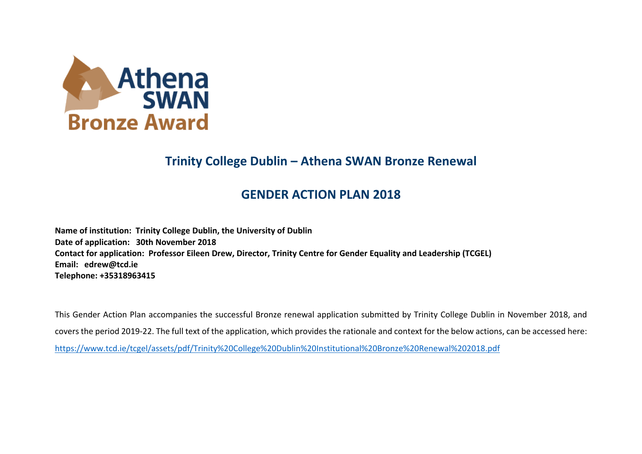

## **Trinity College Dublin – Athena SWAN Bronze Renewal**

## **GENDER ACTION PLAN 2018**

**Name of institution: Trinity College Dublin, the University of Dublin Date of application: 30th November 2018 Contact for application: Professor Eileen Drew, Director, Trinity Centre for Gender Equality and Leadership (TCGEL) Email: edrew@tcd.ie Telephone: +35318963415**

This Gender Action Plan accompanies the successful Bronze renewal application submitted by Trinity College Dublin in November 2018, and covers the period 2019-22. The full text of the application, which provides the rationale and context for the below actions, can be accessed here: https://www.tcd.ie/tcgel/assets/pdf/Trinity%20College%20Dublin%20Institutional%20Bronze%20Renewal%202018.pdf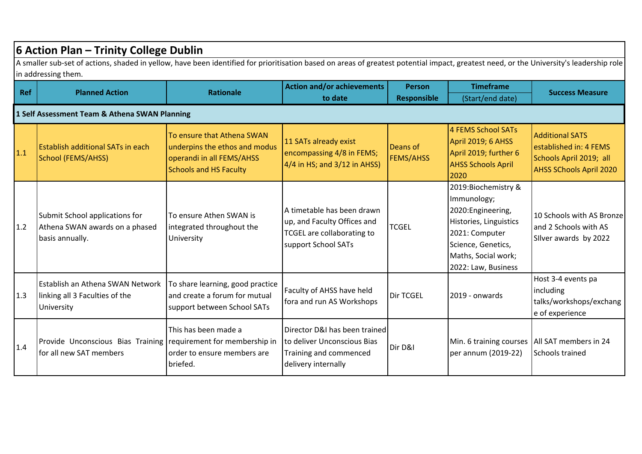|            | 6 Action Plan - Trinity College Dublin                                                                                                                                                                         |                                                                                                                           |                                                                                                                       |                              |                                                                                                                                                                          |                                                                                                               |  |
|------------|----------------------------------------------------------------------------------------------------------------------------------------------------------------------------------------------------------------|---------------------------------------------------------------------------------------------------------------------------|-----------------------------------------------------------------------------------------------------------------------|------------------------------|--------------------------------------------------------------------------------------------------------------------------------------------------------------------------|---------------------------------------------------------------------------------------------------------------|--|
|            | A smaller sub-set of actions, shaded in yellow, have been identified for prioritisation based on areas of greatest potential impact, greatest need, or the University's leadership role<br>in addressing them. |                                                                                                                           |                                                                                                                       |                              |                                                                                                                                                                          |                                                                                                               |  |
| <b>Ref</b> | <b>Planned Action</b>                                                                                                                                                                                          | <b>Rationale</b>                                                                                                          | <b>Action and/or achievements</b>                                                                                     | <b>Person</b>                | <b>Timeframe</b>                                                                                                                                                         | <b>Success Measure</b>                                                                                        |  |
|            |                                                                                                                                                                                                                |                                                                                                                           | to date                                                                                                               | <b>Responsible</b>           | (Start/end date)                                                                                                                                                         |                                                                                                               |  |
|            | 1 Self Assessment Team & Athena SWAN Planning                                                                                                                                                                  |                                                                                                                           |                                                                                                                       |                              |                                                                                                                                                                          |                                                                                                               |  |
| 1.1        | <b>Establish additional SATs in each</b><br>School (FEMS/AHSS)                                                                                                                                                 | To ensure that Athena SWAN<br>underpins the ethos and modus<br>operandi in all FEMS/AHSS<br><b>Schools and HS Faculty</b> | 11 SATs already exist<br>encompassing 4/8 in FEMS;<br>$4/4$ in HS; and $3/12$ in AHSS)                                | Deans of<br><b>FEMS/AHSS</b> | 4 FEMS School SATs<br>April 2019; 6 AHSS<br>April 2019; further 6<br><b>AHSS Schools April</b><br>2020                                                                   | <b>Additional SATS</b><br>established in: 4 FEMS<br>Schools April 2019; all<br><b>AHSS SChools April 2020</b> |  |
| 1.2        | Submit School applications for<br>Athena SWAN awards on a phased<br>basis annually.                                                                                                                            | To ensure Athen SWAN is<br>integrated throughout the<br>University                                                        | A timetable has been drawn<br>up, and Faculty Offices and<br><b>TCGEL</b> are collaborating to<br>support School SATs | <b>TCGEL</b>                 | 2019:Biochemistry &<br>Immunology;<br>2020: Engineering,<br>Histories, Linguistics<br>2021: Computer<br>Science, Genetics,<br>Maths, Social work;<br>2022: Law, Business | 10 Schools with AS Bronzel<br>and 2 Schools with AS<br>Silver awards by 2022                                  |  |
| 1.3        | Establish an Athena SWAN Network<br>linking all 3 Faculties of the<br>University                                                                                                                               | To share learning, good practice<br>and create a forum for mutual<br>support between School SATs                          | Faculty of AHSS have held<br>fora and run AS Workshops                                                                | <b>Dir TCGEL</b>             | 2019 - onwards                                                                                                                                                           | Host 3-4 events pa<br>including<br>talks/workshops/exchang<br>e of experience                                 |  |
| 1.4        | Provide Unconscious Bias Training requirement for membership in<br>for all new SAT members                                                                                                                     | This has been made a<br>order to ensure members are<br>briefed.                                                           | Director D&I has been trained<br>to deliver Unconscious Bias<br>Training and commenced<br>delivery internally         | Dir D&I                      | Min. 6 training courses<br>per annum (2019-22)                                                                                                                           | All SAT members in 24<br>Schools trained                                                                      |  |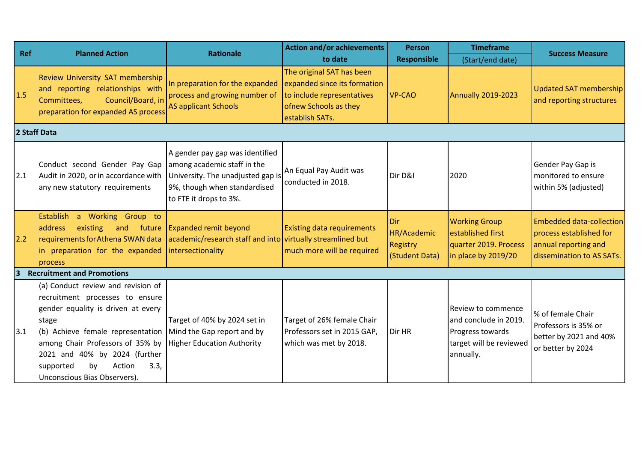| Ref            | <b>Planned Action</b>                                                                                                                                                                                                                                                                               | <b>Rationale</b>                                                                                                                                              | <b>Action and/or achievements</b>                                                                                                   | <b>Person</b>                                           | <b>Timeframe</b>                                                                                               | <b>Success Measure</b>                                                                                          |
|----------------|-----------------------------------------------------------------------------------------------------------------------------------------------------------------------------------------------------------------------------------------------------------------------------------------------------|---------------------------------------------------------------------------------------------------------------------------------------------------------------|-------------------------------------------------------------------------------------------------------------------------------------|---------------------------------------------------------|----------------------------------------------------------------------------------------------------------------|-----------------------------------------------------------------------------------------------------------------|
|                |                                                                                                                                                                                                                                                                                                     |                                                                                                                                                               | to date                                                                                                                             | <b>Responsible</b>                                      | (Start/end date)                                                                                               |                                                                                                                 |
| 1.5            | Review University SAT membership<br>and reporting relationships with<br>Council/Board, in<br>Committees,<br>preparation for expanded AS process                                                                                                                                                     | In preparation for the expanded<br>process and growing number of<br><b>AS applicant Schools</b>                                                               | The original SAT has been<br>expanded since its formation<br>to include representatives<br>ofnew Schools as they<br>establish SATs. | <b>VP-CAO</b>                                           | Annually 2019-2023                                                                                             | <b>Updated SAT membership</b><br>and reporting structures                                                       |
| 2 Staff Data   |                                                                                                                                                                                                                                                                                                     |                                                                                                                                                               |                                                                                                                                     |                                                         |                                                                                                                |                                                                                                                 |
| 2.1            | Conduct second Gender Pay Gap<br>Audit in 2020, or in accordance with<br>any new statutory requirements                                                                                                                                                                                             | A gender pay gap was identified<br>among academic staff in the<br>University. The unadjusted gap is<br>9%, though when standardised<br>to FTE it drops to 3%. | An Equal Pay Audit was<br>conducted in 2018.                                                                                        | Dir D&I                                                 | 2020                                                                                                           | Gender Pay Gap is<br>monitored to ensure<br>within 5% (adjusted)                                                |
| 2.2            | <b>Establish</b><br>a Working Group to<br>address<br>existing<br>and<br>future<br>requirements for Athena SWAN data<br>in preparation for the expanded<br>process                                                                                                                                   | <b>Expanded remit beyond</b><br>academic/research staff and into virtually streamlined but<br>intersectionality                                               | <b>Existing data requirements</b><br>much more will be required                                                                     | Dir<br>HR/Academic<br><b>Registry</b><br>(Student Data) | <b>Working Group</b><br>established first<br>quarter 2019. Process<br>in place by 2019/20                      | <b>Embedded data-collection</b><br>process established for<br>annual reporting and<br>dissemination to AS SATs. |
| $\overline{3}$ | <b>Recruitment and Promotions</b>                                                                                                                                                                                                                                                                   |                                                                                                                                                               |                                                                                                                                     |                                                         |                                                                                                                |                                                                                                                 |
| 3.1            | (a) Conduct review and revision of<br>recruitment processes to ensure<br>gender equality is driven at every<br>stage<br>(b) Achieve female representation<br>among Chair Professors of 35% by<br>2021 and 40% by 2024 (further<br>Action<br>3.3,<br>supported<br>by<br>Unconscious Bias Observers). | Target of 40% by 2024 set in<br>Mind the Gap report and by<br><b>Higher Education Authority</b>                                                               | Target of 26% female Chair<br>Professors set in 2015 GAP,<br>which was met by 2018.                                                 | Dir HR                                                  | <b>Review to commence</b><br>and conclude in 2019.<br>Progress towards<br>target will be reviewed<br>annually. | % of female Chair<br>Professors is 35% or<br>better by 2021 and 40%<br>or better by 2024                        |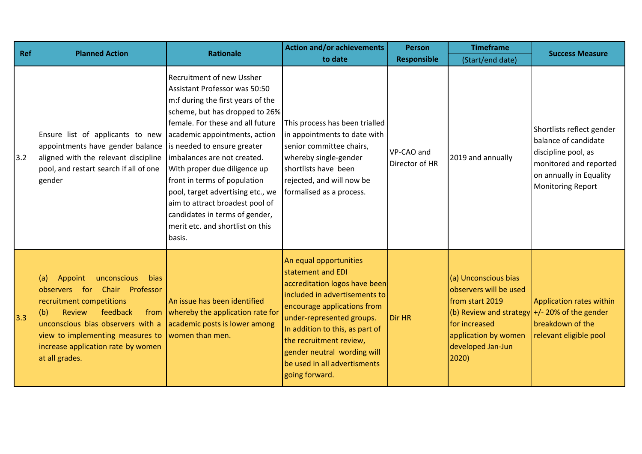| Ref   | <b>Planned Action</b>                                                                                                                                                                                                                                                          | <b>Rationale</b>                                                                                                                                                                                                                                                                                                                                                                                                                                                                                           | <b>Action and/or achievements</b>                                                                                                                                                                                                                                                                                        | <b>Person</b>                | <b>Timeframe</b>                                                                                                                                                                             | <b>Success Measure</b>                                                                                                                             |
|-------|--------------------------------------------------------------------------------------------------------------------------------------------------------------------------------------------------------------------------------------------------------------------------------|------------------------------------------------------------------------------------------------------------------------------------------------------------------------------------------------------------------------------------------------------------------------------------------------------------------------------------------------------------------------------------------------------------------------------------------------------------------------------------------------------------|--------------------------------------------------------------------------------------------------------------------------------------------------------------------------------------------------------------------------------------------------------------------------------------------------------------------------|------------------------------|----------------------------------------------------------------------------------------------------------------------------------------------------------------------------------------------|----------------------------------------------------------------------------------------------------------------------------------------------------|
|       |                                                                                                                                                                                                                                                                                |                                                                                                                                                                                                                                                                                                                                                                                                                                                                                                            | to date                                                                                                                                                                                                                                                                                                                  | <b>Responsible</b>           | (Start/end date)                                                                                                                                                                             |                                                                                                                                                    |
| $3.2$ | Ensure list of applicants to new<br>appointments have gender balance<br>aligned with the relevant discipline<br>pool, and restart search if all of one<br>gender                                                                                                               | <b>Recruitment of new Ussher</b><br><b>Assistant Professor was 50:50</b><br>m:f during the first years of the<br>scheme, but has dropped to 26%<br>female. For these and all future<br>academic appointments, action<br>is needed to ensure greater<br>imbalances are not created.<br>With proper due diligence up<br>front in terms of population<br>pool, target advertising etc., we<br>aim to attract broadest pool of<br>candidates in terms of gender,<br>merit etc. and shortlist on this<br>basis. | This process has been trialled<br>in appointments to date with<br>senior committee chairs,<br>whereby single-gender<br>shortlists have been<br>rejected, and will now be<br>formalised as a process.                                                                                                                     | VP-CAO and<br>Director of HR | 2019 and annually                                                                                                                                                                            | Shortlists reflect gender<br>balance of candidate<br>discipline pool, as<br>monitored and reported<br>on annually in Equality<br>Monitoring Report |
| 3.3   | bias<br>(a)<br>unconscious<br>Appoint<br>for<br>Chair Professor<br>observers<br>recruitment competitions<br>(b)<br>feedback<br>Review<br>from<br>unconscious bias observers with a<br>view to implementing measures to<br>increase application rate by women<br>at all grades. | An issue has been identified<br>whereby the application rate for<br>academic posts is lower among<br>women than men.                                                                                                                                                                                                                                                                                                                                                                                       | An equal opportunities<br>statement and EDI<br>accreditation logos have been<br>included in advertisements to<br>encourage applications from<br>under-represented groups.<br>In addition to this, as part of<br>the recruitment review,<br>gender neutral wording will<br>be used in all advertisments<br>going forward. | Dir HR                       | (a) Unconscious bias<br>observers will be used<br>from start 2019<br>(b) Review and strategy $+/- 20\%$ of the gender<br>for increased<br>application by women<br>developed Jan-Jun<br>2020) | Application rates within<br>breakdown of the<br>relevant eligible pool                                                                             |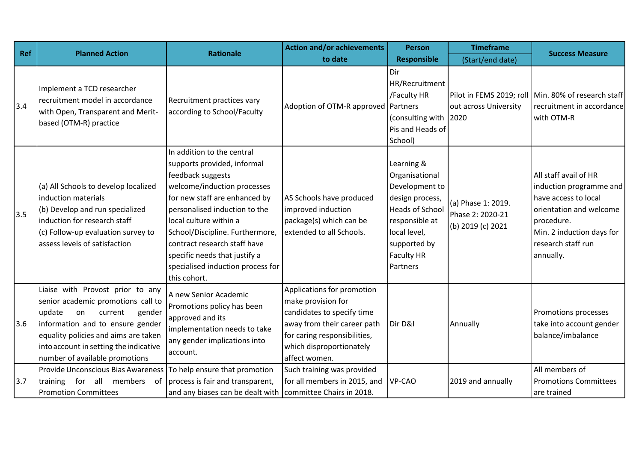| <b>Ref</b> | <b>Planned Action</b>                                                                                                                                                                                                                                               | <b>Rationale</b>                                                                                                                                                                                                                                                                                                                                                   | <b>Action and/or achievements</b>                                                                                                                                                          | <b>Person</b>                                                                                                                                                                  | <b>Timeframe</b>                                            | <b>Success Measure</b>                                                                                                                                                            |
|------------|---------------------------------------------------------------------------------------------------------------------------------------------------------------------------------------------------------------------------------------------------------------------|--------------------------------------------------------------------------------------------------------------------------------------------------------------------------------------------------------------------------------------------------------------------------------------------------------------------------------------------------------------------|--------------------------------------------------------------------------------------------------------------------------------------------------------------------------------------------|--------------------------------------------------------------------------------------------------------------------------------------------------------------------------------|-------------------------------------------------------------|-----------------------------------------------------------------------------------------------------------------------------------------------------------------------------------|
|            |                                                                                                                                                                                                                                                                     |                                                                                                                                                                                                                                                                                                                                                                    | to date                                                                                                                                                                                    | <b>Responsible</b>                                                                                                                                                             | (Start/end date)                                            |                                                                                                                                                                                   |
| 3.4        | Implement a TCD researcher<br>recruitment model in accordance<br>with Open, Transparent and Merit-<br>based (OTM-R) practice                                                                                                                                        | Recruitment practices vary<br>according to School/Faculty                                                                                                                                                                                                                                                                                                          | Adoption of OTM-R approved Partners                                                                                                                                                        | Dir<br>HR/Recruitment<br>/Faculty HR<br>(consulting with 2020<br>Pis and Heads of<br>School)                                                                                   | out across University                                       | Pilot in FEMS 2019; roll   Min. 80% of research staff<br>recruitment in accordance<br>with OTM-R                                                                                  |
| 3.5        | (a) All Schools to develop localized<br>induction materials<br>(b) Develop and run specialized<br>induction for research staff<br>(c) Follow-up evaluation survey to<br>assess levels of satisfaction                                                               | In addition to the central<br>supports provided, informal<br>feedback suggests<br>welcome/induction processes<br>for new staff are enhanced by<br>personalised induction to the<br>local culture within a<br>School/Discipline. Furthermore,<br>contract research staff have<br>specific needs that justify a<br>specialised induction process for<br>this cohort. | AS Schools have produced<br>improved induction<br>package(s) which can be<br>extended to all Schools.                                                                                      | Learning &<br>Organisational<br>Development to<br>design process,<br><b>Heads of School</b><br>responsible at<br>local level,<br>supported by<br><b>Faculty HR</b><br>Partners | (a) Phase 1: 2019.<br>Phase 2: 2020-21<br>(b) 2019 (c) 2021 | All staff avail of HR<br>induction programme and<br>have access to local<br>orientation and welcome<br>procedure.<br>Min. 2 induction days for<br>research staff run<br>annually. |
| 3.6        | Liaise with Provost prior to any<br>senior academic promotions call to<br>update<br>gender<br>current<br>on<br>information and to ensure gender<br>equality policies and aims are taken<br>into account in setting the indicative<br>number of available promotions | A new Senior Academic<br>Promotions policy has been<br>approved and its<br>implementation needs to take<br>any gender implications into<br>account.                                                                                                                                                                                                                | Applications for promotion<br>make provision for<br>candidates to specify time<br>away from their career path<br>for caring responsibilities,<br>which disproportionately<br>affect women. | Dir D&I                                                                                                                                                                        | Annually                                                    | <b>Promotions processes</b><br>take into account gender<br>balance/imbalance                                                                                                      |
| 3.7        | Provide Unconscious Bias Awareness<br>for<br>all<br>members<br>of<br>training<br><b>Promotion Committees</b>                                                                                                                                                        | To help ensure that promotion<br>process is fair and transparent,<br>and any biases can be dealt with                                                                                                                                                                                                                                                              | Such training was provided<br>for all members in 2015, and<br>committee Chairs in 2018.                                                                                                    | VP-CAO                                                                                                                                                                         | 2019 and annually                                           | All members of<br><b>Promotions Committees</b><br>are trained                                                                                                                     |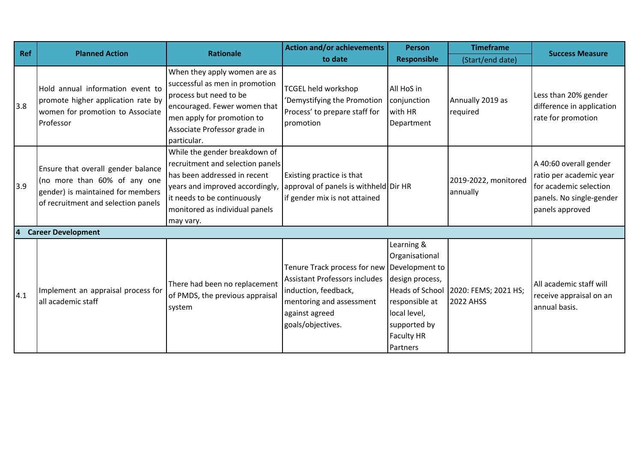| Ref | <b>Planned Action</b>                                                                                                                          | <b>Rationale</b>                                                                                                                                                                                                   | <b>Action and/or achievements</b>                                                                                                                                              | <b>Person</b>                                                                                                                                         | <b>Timeframe</b>                         | <b>Success Measure</b>                                                                                                     |
|-----|------------------------------------------------------------------------------------------------------------------------------------------------|--------------------------------------------------------------------------------------------------------------------------------------------------------------------------------------------------------------------|--------------------------------------------------------------------------------------------------------------------------------------------------------------------------------|-------------------------------------------------------------------------------------------------------------------------------------------------------|------------------------------------------|----------------------------------------------------------------------------------------------------------------------------|
|     |                                                                                                                                                |                                                                                                                                                                                                                    | to date                                                                                                                                                                        | <b>Responsible</b>                                                                                                                                    | (Start/end date)                         |                                                                                                                            |
| 3.8 | Hold annual information event to<br>promote higher application rate by<br>women for promotion to Associate<br>Professor                        | When they apply women are as<br>successful as men in promotion<br>process but need to be<br>encouraged. Fewer women that<br>men apply for promotion to<br>Associate Professor grade in<br>particular.              | <b>TCGEL held workshop</b><br>'Demystifying the Promotion<br>Process' to prepare staff for<br>promotion                                                                        | All HoS in<br>conjunction<br>with HR<br>Department                                                                                                    | Annually 2019 as<br>required             | Less than 20% gender<br>difference in application<br>rate for promotion                                                    |
| 3.9 | Ensure that overall gender balance<br>(no more than 60% of any one<br>gender) is maintained for members<br>of recruitment and selection panels | While the gender breakdown of<br>recruitment and selection panels<br>has been addressed in recent<br>years and improved accordingly,<br>it needs to be continuously<br>monitored as individual panels<br>may vary. | Existing practice is that<br>approval of panels is withheld Dir HR<br>if gender mix is not attained                                                                            |                                                                                                                                                       | 2019-2022, monitored<br>annually         | A 40:60 overall gender<br>ratio per academic year<br>for academic selection<br>panels. No single-gender<br>panels approved |
| 4   | <b>Career Development</b>                                                                                                                      |                                                                                                                                                                                                                    |                                                                                                                                                                                |                                                                                                                                                       |                                          |                                                                                                                            |
| 4.1 | Implement an appraisal process for<br>all academic staff                                                                                       | There had been no replacement<br>of PMDS, the previous appraisal<br>system                                                                                                                                         | Tenure Track process for new Development to<br><b>Assistant Professors includes</b><br>induction, feedback,<br>mentoring and assessment<br>against agreed<br>goals/objectives. | Learning &<br>Organisational<br>design process,<br>Heads of School<br>responsible at<br>local level,<br>supported by<br><b>Faculty HR</b><br>Partners | 2020: FEMS; 2021 HS;<br><b>2022 AHSS</b> | All academic staff will<br>receive appraisal on an<br>annual basis.                                                        |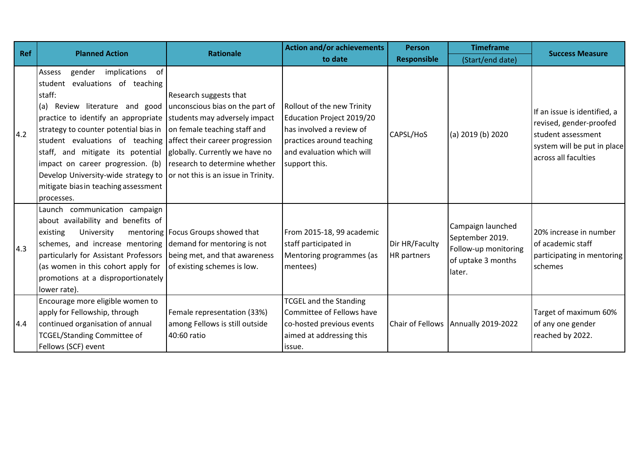| Ref | <b>Planned Action</b>                                                                                                                                                                                                                                                                                                                                                                                           | <b>Rationale</b>                                                                                                                                                                                                                                                        | <b>Action and/or achievements</b>                                                                                                                              | <b>Person</b>                 | <b>Timeframe</b>                                                                             | <b>Success Measure</b>                                                                                                               |
|-----|-----------------------------------------------------------------------------------------------------------------------------------------------------------------------------------------------------------------------------------------------------------------------------------------------------------------------------------------------------------------------------------------------------------------|-------------------------------------------------------------------------------------------------------------------------------------------------------------------------------------------------------------------------------------------------------------------------|----------------------------------------------------------------------------------------------------------------------------------------------------------------|-------------------------------|----------------------------------------------------------------------------------------------|--------------------------------------------------------------------------------------------------------------------------------------|
|     |                                                                                                                                                                                                                                                                                                                                                                                                                 |                                                                                                                                                                                                                                                                         | to date                                                                                                                                                        | <b>Responsible</b>            | (Start/end date)                                                                             |                                                                                                                                      |
| 4.2 | implications of<br>Assess<br>gender<br>evaluations of teaching<br>student<br>staff:<br>(a) Review literature and good<br>practice to identify an appropriate<br>strategy to counter potential bias in<br>student evaluations of teaching<br>staff, and mitigate its potential<br>impact on career progression. (b)<br>Develop University-wide strategy to<br>mitigate bias in teaching assessment<br>processes. | Research suggests that<br>unconscious bias on the part of<br>students may adversely impact<br>on female teaching staff and<br>affect their career progression<br>globally. Currently we have no<br>research to determine whether<br>or not this is an issue in Trinity. | Rollout of the new Trinity<br>Education Project 2019/20<br>has involved a review of<br>practices around teaching<br>and evaluation which will<br>support this. | CAPSL/HoS                     | (a) 2019 (b) 2020                                                                            | If an issue is identified, a<br>revised, gender-proofed<br>student assessment<br>system will be put in place<br>across all faculties |
| 4.3 | Launch communication campaign<br>about availability and benefits of<br>University<br>existing<br>schemes, and increase mentoring demand for mentoring is not<br>particularly for Assistant Professors<br>(as women in this cohort apply for<br>promotions at a disproportionately<br>lower rate).                                                                                                               | mentoring   Focus Groups showed that<br>being met, and that awareness<br>of existing schemes is low.                                                                                                                                                                    | From 2015-18, 99 academic<br>staff participated in<br>Mentoring programmes (as<br>mentees)                                                                     | Dir HR/Faculty<br>HR partners | Campaign launched<br>September 2019.<br>Follow-up monitoring<br>of uptake 3 months<br>later. | 20% increase in number<br>of academic staff<br>participating in mentoring<br>schemes                                                 |
| 4.4 | Encourage more eligible women to<br>apply for Fellowship, through<br>continued organisation of annual<br><b>TCGEL/Standing Committee of</b><br>Fellows (SCF) event                                                                                                                                                                                                                                              | Female representation (33%)<br>among Fellows is still outside<br>40:60 ratio                                                                                                                                                                                            | <b>TCGEL and the Standing</b><br>Committee of Fellows have<br>co-hosted previous events<br>aimed at addressing this<br>issue.                                  |                               | Chair of Fellows Annually 2019-2022                                                          | Target of maximum 60%<br>of any one gender<br>reached by 2022.                                                                       |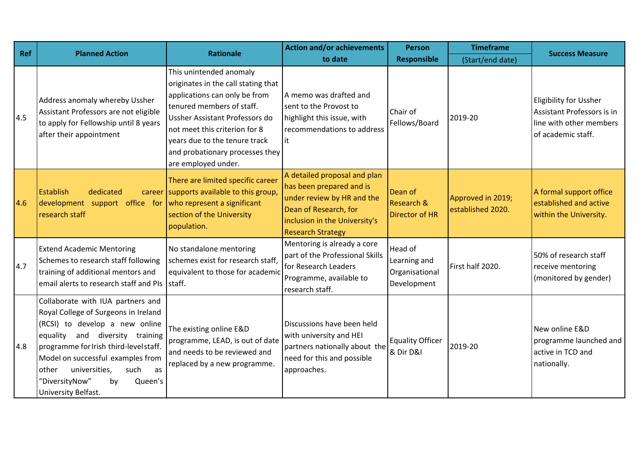| <b>Ref</b> | <b>Planned Action</b>                                                                                                                                                                                                                                                                                                           | <b>Rationale</b>                                                                                                                                                                                                                                                                           | <b>Action and/or achievements</b>                                                                                                                                            | <b>Person</b>                                            | <b>Timeframe</b>                       | <b>Success Measure</b>                                                                                       |
|------------|---------------------------------------------------------------------------------------------------------------------------------------------------------------------------------------------------------------------------------------------------------------------------------------------------------------------------------|--------------------------------------------------------------------------------------------------------------------------------------------------------------------------------------------------------------------------------------------------------------------------------------------|------------------------------------------------------------------------------------------------------------------------------------------------------------------------------|----------------------------------------------------------|----------------------------------------|--------------------------------------------------------------------------------------------------------------|
|            |                                                                                                                                                                                                                                                                                                                                 |                                                                                                                                                                                                                                                                                            | to date                                                                                                                                                                      | <b>Responsible</b>                                       | (Start/end date)                       |                                                                                                              |
| 4.5        | Address anomaly whereby Ussher<br>Assistant Professors are not eligible<br>to apply for Fellowship until 8 years<br>after their appointment                                                                                                                                                                                     | This unintended anomaly<br>originates in the call stating that<br>applications can only be from<br>tenured members of staff.<br>Ussher Assistant Professors do<br>not meet this criterion for 8<br>years due to the tenure track<br>and probationary processes they<br>are employed under. | A memo was drafted and<br>sent to the Provost to<br>highlight this issue, with<br>recommendations to address<br>it                                                           | Chair of<br>Fellows/Board                                | 2019-20                                | <b>Eligibility for Ussher</b><br>Assistant Professors is in<br>line with other members<br>of academic staff. |
| 4.6        | <b>Establish</b><br>dedicated<br>development support office for<br>research staff                                                                                                                                                                                                                                               | There are limited specific career<br>career supports available to this group,<br>who represent a significant<br>section of the University<br>population.                                                                                                                                   | A detailed proposal and plan<br>has been prepared and is<br>under review by HR and the<br>Dean of Research, for<br>inclusion in the University's<br><b>Research Strategy</b> | Dean of<br>Research &<br><b>Director of HR</b>           | Approved in 2019;<br>established 2020. | A formal support office<br>established and active<br>within the University.                                  |
| 4.7        | <b>Extend Academic Mentoring</b><br>Schemes to research staff following<br>training of additional mentors and<br>email alerts to research staff and PIs                                                                                                                                                                         | No standalone mentoring<br>schemes exist for research staff<br>equivalent to those for academic<br>staff.                                                                                                                                                                                  | Mentoring is already a core<br>part of the Professional Skills<br>for Research Leaders<br>Programme, available to<br>research staff.                                         | Head of<br>Learning and<br>Organisational<br>Development | First half 2020.                       | 50% of research staff<br>receive mentoring<br>(monitored by gender)                                          |
| 4.8        | Collaborate with IUA partners and<br>Royal College of Surgeons in Ireland<br>(RCSI) to develop a new online<br>equality and diversity training<br>programme for Irish third-level staff.<br>Model on successful examples from<br>other<br>universities,<br>such<br>as<br>"DiversityNow"<br>Queen's<br>by<br>University Belfast. | The existing online E&D<br>programme, LEAD, is out of date<br>and needs to be reviewed and<br>replaced by a new programme.                                                                                                                                                                 | Discussions have been held<br>with university and HEI<br>partners nationally about the<br>need for this and possible<br>approaches.                                          | <b>Equality Officer</b><br>& Dir D&I                     | 2019-20                                | New online E&D<br>programme launched and<br>active in TCD and<br>nationally.                                 |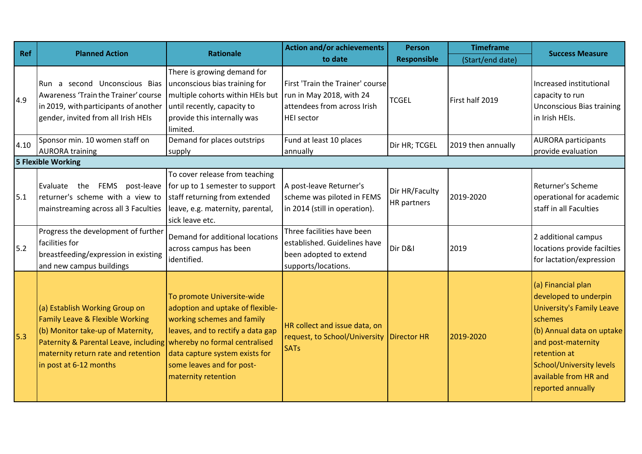| Ref  | <b>Planned Action</b>                                                                                                                                                                                                                                     | <b>Rationale</b>                                                                                                                                                                                                        | <b>Action and/or achievements</b>                                                                                | <b>Person</b>                 | <b>Timeframe</b>   | <b>Success Measure</b>                                                                                                                                                                                                                  |
|------|-----------------------------------------------------------------------------------------------------------------------------------------------------------------------------------------------------------------------------------------------------------|-------------------------------------------------------------------------------------------------------------------------------------------------------------------------------------------------------------------------|------------------------------------------------------------------------------------------------------------------|-------------------------------|--------------------|-----------------------------------------------------------------------------------------------------------------------------------------------------------------------------------------------------------------------------------------|
|      |                                                                                                                                                                                                                                                           |                                                                                                                                                                                                                         | to date                                                                                                          | <b>Responsible</b>            | (Start/end date)   |                                                                                                                                                                                                                                         |
| 4.9  | Run a second Unconscious Bias<br>Awareness 'Train the Trainer' course<br>in 2019, with participants of another<br>gender, invited from all Irish HEIs                                                                                                     | There is growing demand for<br>unconscious bias training for<br>multiple cohorts within HEIs but<br>until recently, capacity to<br>provide this internally was<br>limited.                                              | First 'Train the Trainer' course<br>run in May 2018, with 24<br>attendees from across Irish<br><b>HEI</b> sector | <b>TCGEL</b>                  | First half 2019    | Increased institutional<br>capacity to run<br><b>Unconscious Bias training</b><br>in Irish HEIs.                                                                                                                                        |
| 4.10 | Sponsor min. 10 women staff on<br><b>AURORA training</b>                                                                                                                                                                                                  | Demand for places outstrips<br>supply                                                                                                                                                                                   | Fund at least 10 places<br>annually                                                                              | Dir HR; TCGEL                 | 2019 then annually | <b>AURORA</b> participants<br>provide evaluation                                                                                                                                                                                        |
|      | <b>5 Flexible Working</b>                                                                                                                                                                                                                                 |                                                                                                                                                                                                                         |                                                                                                                  |                               |                    |                                                                                                                                                                                                                                         |
| 5.1  | post-leave<br>the<br>FEMS<br>Evaluate<br>returner's scheme with a view to<br>mainstreaming across all 3 Faculties                                                                                                                                         | To cover release from teaching<br>for up to 1 semester to support<br>staff returning from extended<br>leave, e.g. maternity, parental,<br>sick leave etc.                                                               | A post-leave Returner's<br>scheme was piloted in FEMS<br>in 2014 (still in operation).                           | Dir HR/Faculty<br>HR partners | 2019-2020          | Returner's Scheme<br>operational for academic<br>staff in all Faculties                                                                                                                                                                 |
| 5.2  | Progress the development of further<br>facilities for<br>breastfeeding/expression in existing<br>and new campus buildings                                                                                                                                 | Demand for additional locations<br>across campus has been<br>identified.                                                                                                                                                | Three facilities have been<br>established. Guidelines have<br>been adopted to extend<br>supports/locations.      | Dir D&I                       | 2019               | 2 additional campus<br>locations provide facilties<br>for lactation/expression                                                                                                                                                          |
| 5.3  | (a) Establish Working Group on<br><b>Family Leave &amp; Flexible Working</b><br>(b) Monitor take-up of Maternity,<br>Paternity & Parental Leave, including whereby no formal centralised<br>maternity return rate and retention<br>in post at 6-12 months | To promote Universite-wide<br>adoption and uptake of flexible-<br>working schemes and family<br>leaves, and to rectify a data gap<br>data capture system exists for<br>some leaves and for post-<br>maternity retention | HR collect and issue data, on<br>request, to School/University Director HR<br><b>SATs</b>                        |                               | 2019-2020          | (a) Financial plan<br>developed to underpin<br>University's Family Leave<br>schemes<br>(b) Annual data on uptake<br>and post-maternity<br>retention at<br><b>School/University levels</b><br>available from HR and<br>reported annually |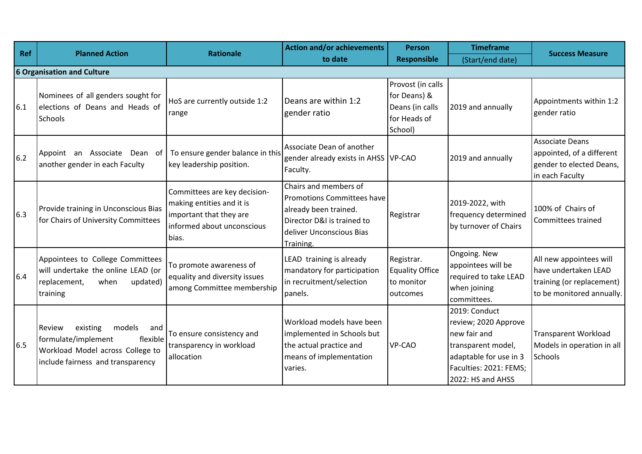| Ref | <b>Planned Action</b>                                                                                                                           | <b>Rationale</b>                                                                                                            | <b>Action and/or achievements</b>                                                                                                                          | <b>Person</b>                                                                   | <b>Timeframe</b>                                                                                                                                     | <b>Success Measure</b>                                                                                    |
|-----|-------------------------------------------------------------------------------------------------------------------------------------------------|-----------------------------------------------------------------------------------------------------------------------------|------------------------------------------------------------------------------------------------------------------------------------------------------------|---------------------------------------------------------------------------------|------------------------------------------------------------------------------------------------------------------------------------------------------|-----------------------------------------------------------------------------------------------------------|
|     |                                                                                                                                                 |                                                                                                                             | to date                                                                                                                                                    | <b>Responsible</b>                                                              | (Start/end date)                                                                                                                                     |                                                                                                           |
|     | 6 Organisation and Culture                                                                                                                      |                                                                                                                             |                                                                                                                                                            |                                                                                 |                                                                                                                                                      |                                                                                                           |
| 6.1 | Nominees of all genders sought for<br>elections of Deans and Heads of<br>Schools                                                                | HoS are currently outside 1:2<br>range                                                                                      | Deans are within 1:2<br>gender ratio                                                                                                                       | Provost (in calls<br>for Deans) &<br>Deans (in calls<br>for Heads of<br>School) | 2019 and annually                                                                                                                                    | Appointments within 1:2<br>gender ratio                                                                   |
| 6.2 | Appoint an Associate Dean of $\vert$ To ensure gender balance in this<br>another gender in each Faculty                                         | key leadership position.                                                                                                    | Associate Dean of another<br>gender already exists in AHSS VP-CAO<br>Faculty.                                                                              |                                                                                 | 2019 and annually                                                                                                                                    | <b>Associate Deans</b><br>appointed, of a different<br>gender to elected Deans,<br>in each Faculty        |
| 6.3 | Provide training in Unconscious Bias<br>for Chairs of University Committees                                                                     | Committees are key decision-<br>making entities and it is<br>important that they are<br>informed about unconscious<br>bias. | Chairs and members of<br><b>Promotions Committees have</b><br>already been trained.<br>Director D&I is trained to<br>deliver Unconscious Bias<br>Training. | Registrar                                                                       | 2019-2022, with<br>frequency determined<br>by turnover of Chairs                                                                                     | 100% of Chairs of<br>Committees trained                                                                   |
| 6.4 | Appointees to College Committees<br>will undertake the online LEAD (or<br>updated)<br>replacement,<br>when<br>training                          | To promote awareness of<br>equality and diversity issues<br>among Committee membership                                      | LEAD training is already<br>mandatory for participation<br>in recruitment/selection<br>panels.                                                             | Registrar.<br><b>Equality Office</b><br>to monitor<br>outcomes                  | Ongoing. New<br>appointees will be<br>required to take LEAD<br>when joining<br>committees.                                                           | All new appointees will<br>have undertaken LEAD<br>training (or replacement)<br>to be monitored annually. |
| 6.5 | models<br>Review<br>existing<br>and<br>formulate/implement<br>flexible<br>Workload Model across College to<br>include fairness and transparency | To ensure consistency and<br>transparency in workload<br>allocation                                                         | Workload models have been<br>implemented in Schools but<br>the actual practice and<br>means of implementation<br>varies.                                   | <b>VP-CAO</b>                                                                   | 2019: Conduct<br>review; 2020 Approve<br>new fair and<br>transparent model,<br>adaptable for use in 3<br>Faculties: 2021: FEMS;<br>2022: HS and AHSS | <b>Transparent Workload</b><br>Models in operation in all<br><b>Schools</b>                               |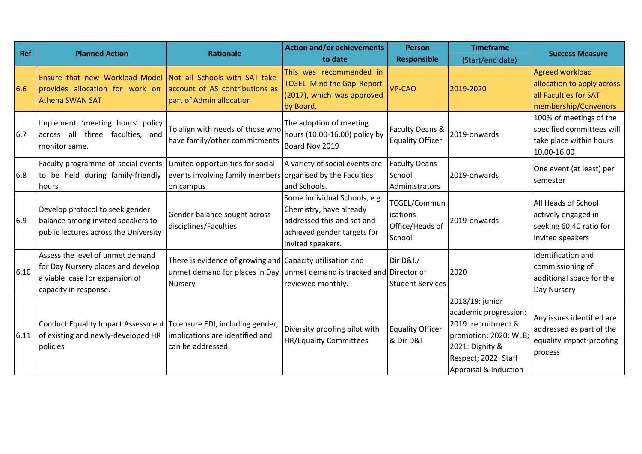| Ref  | <b>Planned Action</b>                                                                                                             | <b>Rationale</b>                                                                                                                               | <b>Action and/or achievements</b>                                                                                                          | <b>Person</b>                                         | <b>Timeframe</b>                                                                                                                                             | <b>Success Measure</b>                                                                         |
|------|-----------------------------------------------------------------------------------------------------------------------------------|------------------------------------------------------------------------------------------------------------------------------------------------|--------------------------------------------------------------------------------------------------------------------------------------------|-------------------------------------------------------|--------------------------------------------------------------------------------------------------------------------------------------------------------------|------------------------------------------------------------------------------------------------|
|      |                                                                                                                                   |                                                                                                                                                | to date                                                                                                                                    | <b>Responsible</b>                                    | (Start/end date)                                                                                                                                             |                                                                                                |
| 6.6  | Ensure that new Workload Model Not all Schools with SAT take<br>provides allocation for work on<br><b>Athena SWAN SAT</b>         | account of AS contributions as<br>part of Admin allocation                                                                                     | This was recommended in<br><b>TCGEL 'Mind the Gap' Report</b><br>(2017), which was approved<br>by Board.                                   | <b>VP-CAO</b>                                         | 2019-2020                                                                                                                                                    | Agreed workload<br>allocation to apply across<br>all Faculties for SAT<br>membership/Convenors |
| 6.7  | Implement 'meeting hours' policy<br>across all three faculties, and<br>monitor same.                                              | To align with needs of those who<br>have family/other commitments                                                                              | The adoption of meeting<br>hours (10.00-16.00) policy by<br>Board Nov 2019                                                                 | Faculty Deans &<br><b>Equality Officer</b>            | 2019-onwards                                                                                                                                                 | 100% of meetings of the<br>specified committees will<br>take place within hours<br>10.00-16.00 |
| 6.8  | Faculty programme of social events<br>to be held during family-friendly<br>hours                                                  | Limited opportunities for social<br>events involving family members organised by the Faculties<br>on campus                                    | A variety of social events are<br>and Schools.                                                                                             | <b>Faculty Deans</b><br>School<br>Administrators      | 2019-onwards                                                                                                                                                 | One event (at least) per<br>semester                                                           |
| 6.9  | Develop protocol to seek gender<br>balance among invited speakers to<br>public lectures across the University                     | Gender balance sought across<br>disciplines/Faculties                                                                                          | Some individual Schools, e.g.<br>Chemistry, have already<br>addressed this and set and<br>achieved gender targets for<br>invited speakers. | TCGEL/Commun<br>ications<br>Office/Heads of<br>School | 2019-onwards                                                                                                                                                 | All Heads of School<br>actively engaged in<br>seeking 60:40 ratio for<br>invited speakers      |
| 6.10 | Assess the level of unmet demand<br>for Day Nursery places and develop<br>a viable case for expansion of<br>capacity in response. | There is evidence of growing and Capacity utilisation and<br>unmet demand for places in Day unmet demand is tracked and Director of<br>Nursery | reviewed monthly.                                                                                                                          | Dir D&I./<br><b>Student Services</b>                  | 2020                                                                                                                                                         | Identification and<br>commissioning of<br>additional space for the<br>Day Nursery              |
| 6.11 | Conduct Equality Impact Assessment   To ensure EDI, including gender,<br>of existing and newly-developed HR<br>policies           | implications are identified and<br>can be addressed.                                                                                           | Diversity proofing pilot with<br><b>HR/Equality Committees</b>                                                                             | <b>Equality Officer</b><br>& Dir D&I                  | 2018/19: junior<br>academic progression;<br>2019: recruitment &<br>promotion; 2020: WLB;<br>2021: Dignity &<br>Respect; 2022: Staff<br>Appraisal & Induction | Any issues identified are<br>addressed as part of the<br>equality impact-proofing<br>process   |